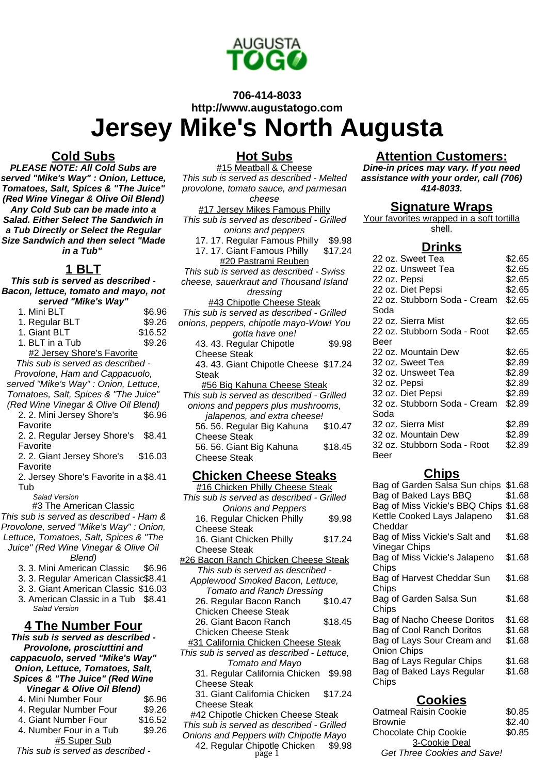

# **706-414-8033 http://www.augustatogo.com Jersey Mike's North Augusta**

#### **Cold Subs**

**PLEASE NOTE: All Cold Subs are served "Mike's Way" : Onion, Lettuce, Tomatoes, Salt, Spices & "The Juice" (Red Wine Vinegar & Olive Oil Blend) Any Cold Sub can be made into a Salad. Either Select The Sandwich in a Tub Directly or Select the Regular Size Sandwich and then select "Made in a Tub"**

#### **1 BLT**

**This sub is served as described - Bacon, lettuce, tomato and mayo, not served "Mike's Way"**

| <b>SEIVEU</b> <i>WING</i> S WAY   |         |  |
|-----------------------------------|---------|--|
| 1. Mini BLT                       | \$6.96  |  |
| 1. Regular BLT                    | \$9.26  |  |
| 1. Giant BLT                      | \$16.52 |  |
| 1. BLT in a Tub                   | \$9.26  |  |
| #2 Jersey Shore's Favorite        |         |  |
| This sub is served as described - |         |  |
| Dravalang, Ham and Cannoquale     |         |  |

Provolone, Ham and Cappacuolo, served "Mike's Way" : Onion, Lettuce,

Tomatoes, Salt, Spices & "The Juice" (Red Wine Vinegar & Olive Oil Blend)

| 2. 2. Mini Jersey Shore's | \$6.96 |
|---------------------------|--------|
| Favorite                  |        |

2. 2. Regular Jersey Shore's Favorite \$8.41

2. 2. Giant Jersey Shore's Favorite \$16.03

2. Jersey Shore's Favorite in a \$8.41 Tub

Salad Version

**#3 The American Classic** 

This sub is served as described - Ham & Provolone, served "Mike's Way" : Onion,

Lettuce, Tomatoes, Salt, Spices & "The

Juice" (Red Wine Vinegar & Olive Oil

- Blend)
- 3. 3. Mini American Classic \$6.96
- 3. 3. Regular American Classic\$8.41
- 3. 3. Giant American Classic \$16.03 3. American Classic in a Tub \$8.41
- Salad Version

## **4 The Number Four**

**This sub is served as described - Provolone, prosciuttini and cappacuolo, served "Mike's Way" Onion, Lettuce, Tomatoes, Salt, Spices & "The Juice" (Red Wine Vinegar & Olive Oil Blend)** 4. Mini Number Four \$6.96 4. Regular Number Four \$9.26

4. Giant Number Four \$16.52 4. Number Four in a Tub \$9.26 #5 Super Sub

This sub is served as described -

#### **Hot Subs**

#15 Meatball & Cheese This sub is served as described - Melted provolone, tomato sauce, and parmesan cheese #17 Jersey Mikes Famous Philly This sub is served as described - Grilled onions and peppers 17. 17. Regular Famous Philly \$9.98<br>17. 17. Giant Famous Philly \$17.24 17. 17. Giant Famous Philly #20 Pastrami Reuben This sub is served as described - Swiss cheese, sauerkraut and Thousand Island dressing #43 Chipotle Cheese Steak This sub is served as described - Grilled onions, peppers, chipotle mayo-Wow! You gotta have one! 43. 43. Regular Chipotle Cheese Steak \$9.98 43. 43. Giant Chipotle Cheese \$17.24 Steak #56 Big Kahuna Cheese Steak This sub is served as described - Grilled onions and peppers plus mushrooms, jalapenos, and extra cheese! 56. 56. Regular Big Kahuna Cheese Steak \$10.47 56. 56. Giant Big Kahuna Cheese Steak \$18.45

#### **Chicken Cheese Steaks**

#16 Chicken Philly Cheese Steak This sub is served as described - Grilled Onions and Peppers 16. Regular Chicken Philly Cheese Steak \$9.98 16. Giant Chicken Philly Cheese Steak \$17.24 #26 Bacon Ranch Chicken Cheese Steak This sub is served as described - Applewood Smoked Bacon, Lettuce, Tomato and Ranch Dressing 26. Regular Bacon Ranch Chicken Cheese Steak \$10.47 26. Giant Bacon Ranch Chicken Cheese Steak \$18.45 **#31 California Chicken Cheese Steak** This sub is served as described - Lettuce, Tomato and Mayo 31. Regular California Chicken \$9.98 Cheese Steak 31. Giant California Chicken Cheese Steak \$17.24 **#42 Chipotle Chicken Cheese Steak** This sub is served as described - Grilled Onions and Peppers with Chipotle Mayo

# 42. Regular Chipotle Chicken \$9.98

#### **Attention Customers:**

**Dine-in prices may vary. If you need assistance with your order, call (706) 414-8033.**

#### **Signature Wraps**

Your favorites wrapped in a soft tortilla shell.

#### **Drinks**

| \$2.65                                 |
|----------------------------------------|
| \$2.65                                 |
| \$2.65                                 |
| \$2.65                                 |
| 22 oz. Stubborn Soda - Cream<br>\$2.65 |
|                                        |
| \$2.65                                 |
| \$2.65                                 |
|                                        |
| \$2.65                                 |
| \$2.89                                 |
| \$2.89                                 |
| \$2.89                                 |
| \$2.89                                 |
| 32 oz. Stubborn Soda - Cream<br>\$2.89 |
|                                        |
| \$2.89                                 |
| \$2.89                                 |
| \$2.89                                 |
|                                        |
|                                        |

# **Chips**

| $ -$                           |        |
|--------------------------------|--------|
| Bag of Garden Salsa Sun chips  | \$1.68 |
| Bag of Baked Lays BBQ          | \$1.68 |
| Bag of Miss Vickie's BBQ Chips | \$1.68 |
| Kettle Cooked Lays Jalapeno    | \$1.68 |
| Cheddar                        |        |
| Bag of Miss Vickie's Salt and  | \$1.68 |
| <b>Vinegar Chips</b>           |        |
| Bag of Miss Vickie's Jalapeno  | \$1.68 |
| Chips                          |        |
| Bag of Harvest Cheddar Sun     | \$1.68 |
| Chips                          |        |
| Bag of Garden Salsa Sun        | \$1.68 |
| Chips                          |        |
| Bag of Nacho Cheese Doritos    | \$1.68 |
| Bag of Cool Ranch Doritos      | \$1.68 |
| Bag of Lays Sour Cream and     | \$1.68 |
| <b>Onion Chips</b>             |        |
| Bag of Lays Regular Chips      | \$1.68 |
| Bag of Baked Lays Regular      | \$1.68 |
| Chips                          |        |
|                                |        |

## **Cookies**

| iicken Cheese Steak                               | <b>Oatmeal Raisin Cookie</b>                        | \$0.85 |
|---------------------------------------------------|-----------------------------------------------------|--------|
| I as described - Grilled                          | <b>Brownie</b>                                      | \$2.40 |
| ers with Chipotle Mayo                            | <b>Chocolate Chip Cookie</b>                        | \$0.85 |
| iip <mark>otle Chicken</mark><br>page 1<br>\$9.98 | 3-Cookie Deal<br><b>Get Three Cookies and Save!</b> |        |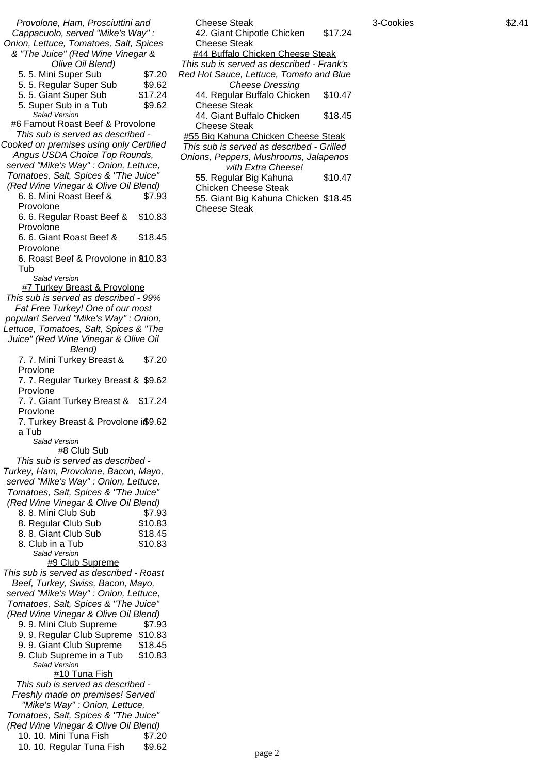Provolone, Ham, Prosciuttini and Cappacuolo, served "Mike's Way" : Onion, Lettuce, Tomatoes, Salt, Spices & "The Juice" (Red Wine Vinegar & Olive Oil Blend) 5. 5. Mini Super Sub \$7.20 5. 5. Regular Super Sub \$9.62 5. 5. Giant Super Sub \$17.24 5. Super Sub in a Tub \$9.62 Salad Version #6 Famout Roast Beef & Provolone This sub is served as described - Cooked on premises using only Certified Angus USDA Choice Top Rounds, served "Mike's Way" : Onion, Lettuce, Tomatoes, Salt, Spices & "The Juice" (Red Wine Vinegar & Olive Oil Blend) 6. 6. Mini Roast Beef & Provolone \$7.93 6. 6. Regular Roast Beef & Provolone \$10.83 6. 6. Giant Roast Beef & Provolone \$18.45 6. Roast Beef & Provolone in \$10.83 Tub Salad Version #7 Turkey Breast & Provolone This sub is served as described - 99% Fat Free Turkey! One of our most popular! Served "Mike's Way" : Onion, Lettuce, Tomatoes, Salt, Spices & "The Juice" (Red Wine Vinegar & Olive Oil Blend) 7. 7. Mini Turkey Breast & Provlone \$7.20 7. 7. Regular Turkey Breast & \$9.62 Provlone 7. 7. Giant Turkey Breast & \$17.24 Provlone 7. Turkey Breast & Provolone i\$9.62 a Tub Salad Version #8 Club Sub This sub is served as described - Turkey, Ham, Provolone, Bacon, Mayo, served "Mike's Way" : Onion, Lettuce, Tomatoes, Salt, Spices & "The Juice" (Red Wine Vinegar & Olive Oil Blend) 8. 8. Mini Club Sub \$7.93 8. Regular Club Sub \$10.83 8. 8. Giant Club Sub \$18.45 8. Club in a Tub \$10.83 Salad Version #9 Club Supreme This sub is served as described - Roast Beef, Turkey, Swiss, Bacon, Mayo, served "Mike's Way" : Onion, Lettuce, Tomatoes, Salt, Spices & "The Juice" (Red Wine Vinegar & Olive Oil Blend) 9. 9. Mini Club Supreme \$7.93 9. 9. Regular Club Supreme \$10.83 9. 9. Giant Club Supreme \$18.45 9. Club Supreme in a Tub \$10.83 Salad Version #10 Tuna Fish This sub is served as described - Freshly made on premises! Served "Mike's Way" : Onion, Lettuce, Tomatoes, Salt, Spices & "The Juice" (Red Wine Vinegar & Olive Oil Blend) 10. 10. Mini Tuna Fish \$7.20 10. 10. Regular Tuna Fish \$9.62

Cheese Steak 42. Giant Chipotle Chicken Cheese Steak \$17.24 #44 Buffalo Chicken Cheese Steak This sub is served as described - Frank's Red Hot Sauce, Lettuce, Tomato and Blue Cheese Dressing 44. Regular Buffalo Chicken Cheese Steak \$10.47 44. Giant Buffalo Chicken Cheese Steak \$18.45 #55 Big Kahuna Chicken Cheese Steak This sub is served as described - Grilled Onions, Peppers, Mushrooms, Jalapenos with Extra Cheese! 55. Regular Big Kahuna Chicken Cheese Steak \$10.47 55. Giant Big Kahuna Chicken \$18.45 Cheese Steak